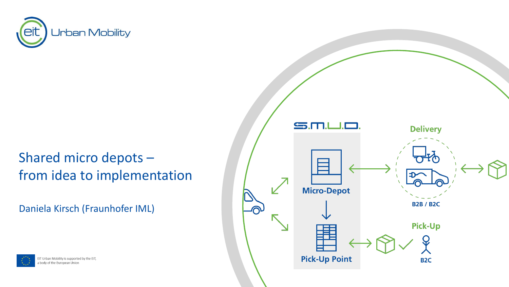

### Shared micro depots – from idea to implementation

Daniela Kirsch (Fraunhofer IML)



EIT Urban Mobility is supported by the EIT, a body of the European Union

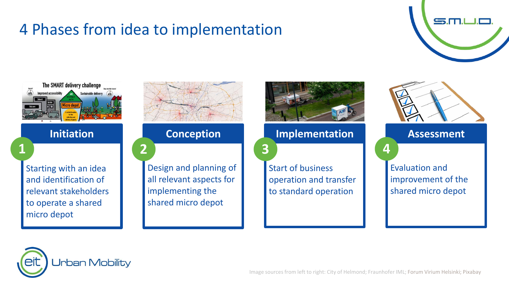## 4 Phases from idea to implementation







Design and planning of all relevant aspects for implementing the shared micro depot



Start of business operation and transfer to standard operation



Evaluation and improvement of the shared micro depot

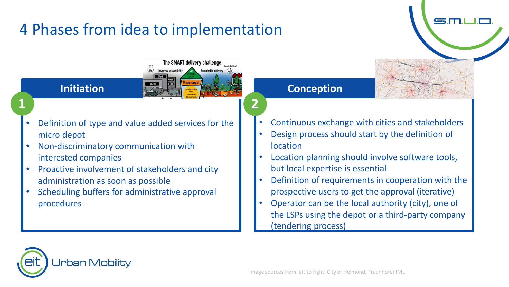# 4 Phases from idea to implementation



The SMART delivery challenge

- Definition of type and value added services for the micro depot
- Non-discriminatory communication with interested companies
- Proactive involvement of stakeholders and city administration as soon as possible
- Scheduling buffers for administrative approval procedures

• Continuous exchange with cities and stakeholders

 $\mathbf{S}$ . $\Pi$ 

- Design process should start by the definition of location
- Location planning should involve software tools, but local expertise is essential
- Definition of requirements in cooperation with the prospective users to get the approval (iterative)
- Operator can be the local authority (city), one of the LSPs using the depot or a third-party company (tendering process)